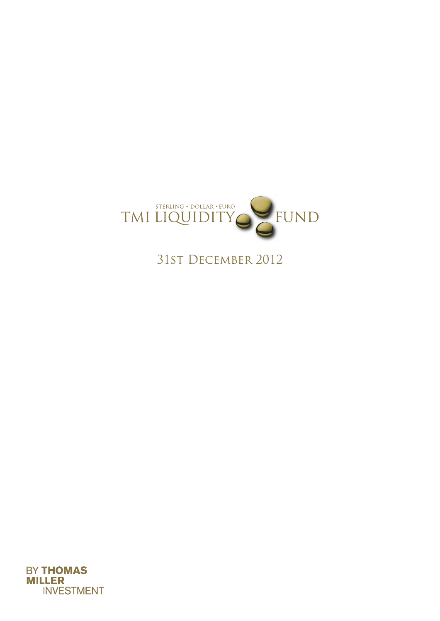

31st December 2012

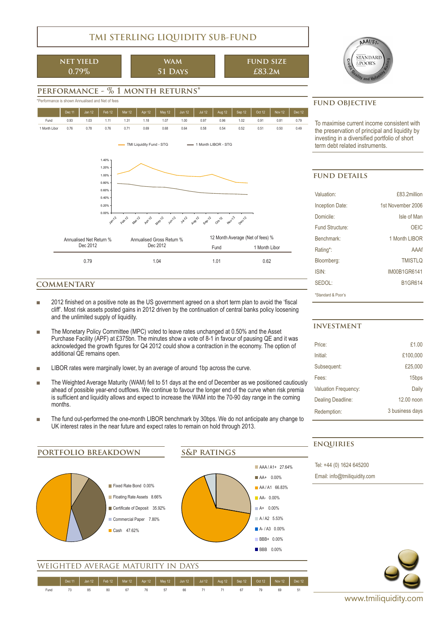# **TMI STERLING LIQUIDITY SUB-FUND**

**net yield 0.79%**

**wam 51 Days**

$$
\begin{array}{c}\n\text{FUND SIZE} \\
\text{£83.2M}\n\end{array}
$$



## **performance - % 1 month returns\***





## **commentary**

- 2012 finished on a positive note as the US government agreed on a short term plan to avoid the 'fiscal cliff'. Most risk assets posted gains in 2012 driven by the continuation of central banks policy loosening and the unlimited supply of liquidity.
- The Monetary Policy Committee (MPC) voted to leave rates unchanged at 0.50% and the Asset Purchase Facility (APF) at £375bn. The minutes show a vote of 8-1 in favour of pausing QE and it was acknowledged the growth figures for Q4 2012 could show a contraction in the economy. The option of additional QE remains open.
- LIBOR rates were marginally lower, by an average of around 1bp across the curve.
- The Weighted Average Maturity (WAM) fell to 51 days at the end of December as we positioned cautiously ahead of possible year-end outflows. We continue to favour the longer end of the curve when risk premia is sufficient and liquidity allows and expect to increase the WAM into the 70-90 day range in the coming months.
- The fund out-performed the one-month LIBOR benchmark by 30bps. We do not anticipate any change to UK interest rates in the near future and expect rates to remain on hold through 2013.



To maximise current income consistent with the preservation of principal and liquidity by investing in a diversified portfolio of short

## **fund details**

| Valuation:             | £83 2million      |
|------------------------|-------------------|
| <b>Inception Date:</b> | 1st November 2006 |
| Domicile <sup>-</sup>  | Isle of Man       |
| Fund Structure:        | OEIC              |
| Benchmark <sup>-</sup> | 1 Month LIBOR     |
| Rating*:               | AAAf              |
| Bloomberg:             | <b>TMISTLO</b>    |
| ISIN·                  | IM00B1GR6141      |
| SFDOI                  | <b>B1GR614</b>    |
| *Standard & Poor's     |                   |

## **investment**

| Price:               | £1.00             |
|----------------------|-------------------|
| Initial <sup>-</sup> | £100,000          |
| Subsequent:          | £25,000           |
| Fees:                | 15 <sub>bps</sub> |
| Valuation Frequency: | Daily             |
| Dealing Deadline:    | 12.00 noon        |
| Redemption:          | 3 business days   |

## **enquiries**

Tel: +44 (0) 1624 645200 Email: info@tmiliquidity.com



Fund 73 85 80 67 76 57 66 71 71 67 79 69 51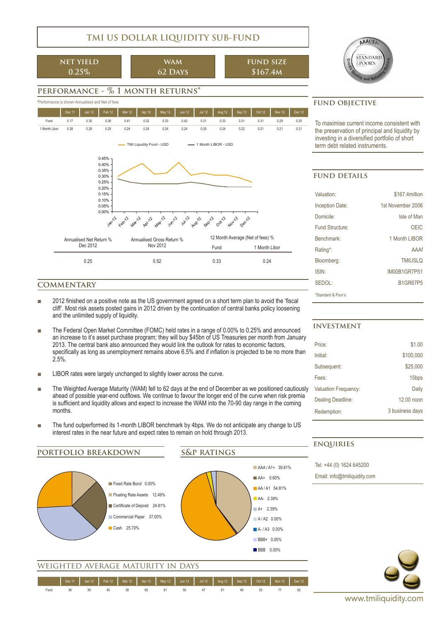## **TMI US DOLLAR LIQUIDITY SUB-FUND**

**net yield 0.25%**

**wam 62 Days**

$$
\begin{array}{c}\n\text{FUND SIZE} \\
\$167.4M\n\end{array}
$$



## **performance - % 1 month returns\***





## **commentary**

- 2012 finished on a positive note as the US government agreed on a short term plan to avoid the 'fiscal cliff'. Most risk assets posted gains in 2012 driven by the continuation of central banks policy loosening and the unlimited supply of liquidity.
- The Federal Open Market Committee (FOMC) held rates in a range of 0.00% to 0.25% and announced an increase to it's asset purchase program; they will buy \$45bn of US Treasuries per month from January 2013. The central bank also announced they would link the outlook for rates to economic factors, specifically as long as unemployment remains above 6.5% and if inflation is projected to be no more than 2.5%.
- LIBOR rates were largely unchanged to slightly lower across the curve.
- The Weighted Average Maturity (WAM) fell to 62 days at the end of December as we positioned cautiously ahead of possible year-end outflows. We continue to favour the longer end of the curve when risk premia is sufficient and liquidity allows and expect to increase the WAM into the 70-90 day range in the coming months.
- The fund outperformed its 1-month LIBOR benchmark by 4bps. We do not anticipate any change to US interest rates in the near future and expect rates to remain on hold through 2013.



Fund 36 39 45 38 65 61 50 47 61 49 53 77 62

To maximise current income consistent with the preservation of principal and liquidity by investing in a diversified portfolio of short

## **fund details**

| Valuation:             | \$167.4million      |
|------------------------|---------------------|
| <b>Inception Date:</b> | 1st November 2006   |
| Domicile:              | Isle of Man         |
| Fund Structure:        | OFIC                |
| Benchmark <sup>-</sup> | 1 Month LIBOR       |
| Rating*:               | AAAf                |
| Bloomberg:             | <b>TMIUSLO</b>      |
| <b>ISIN</b>            | <b>IM00B1GR7P51</b> |
| SFDOI                  | <b>B1GR67P5</b>     |
| *Standard & Poor's     |                     |

## **investment**

| Price:                      | \$1.00            |
|-----------------------------|-------------------|
| Initial:                    | \$100,000         |
| Subsequent:                 | \$25,000          |
| Fees:                       | 15 <sub>bps</sub> |
| <b>Valuation Frequency:</b> | Daily             |
| Dealing Deadline:           | 12,00 noon        |
| Redemption:                 | 3 business days   |

## **enquiries**

Tel: +44 (0) 1624 645200 Email: info@tmiliquidity.com

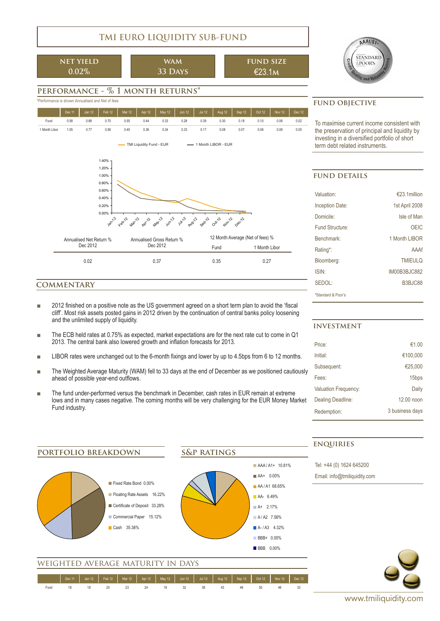# **TMI EURO LIQUIDITY SUB-FUND**

**net yield 0.02%**

**wam 33 Days**

$$
\begin{array}{c}\n\text{FUND SIZE} \\
\text{£}23.1M\n\end{array}
$$



# **performance - % 1 month returns\***



## **commentary**

- 2012 finished on a positive note as the US government agreed on a short term plan to avoid the 'fiscal cliff'. Most risk assets posted gains in 2012 driven by the continuation of central banks policy loosening and the unlimited supply of liquidity.
- The ECB held rates at 0.75% as expected, market expectations are for the next rate cut to come in Q1 2013. The central bank also lowered growth and inflation forecasts for 2013.
- LIBOR rates were unchanged out to the 6-month fixings and lower by up to 4.5bps from 6 to 12 months.
- The Weighted Average Maturity (WAM) fell to 33 days at the end of December as we positioned cautiously ahead of possible year-end outflows.
- The fund under-performed versus the benchmark in December, cash rates in EUR remain at extreme lows and in many cases negative. The coming months will be very challenging for the EUR Money Market Fund industry.

## **investment**

**enquiries**

| Price:                      | €1.00             |
|-----------------------------|-------------------|
| Initial:                    | €100,000          |
| Subsequent:                 | €25,000           |
| Fees:                       | 15 <sub>bps</sub> |
| <b>Valuation Frequency:</b> | Daily             |
| Dealing Deadline:           | 12.00 noon        |
| Redemption:                 | 3 business days   |
|                             |                   |

|                                                |                                                         |                            | ENQUIRIES                    |
|------------------------------------------------|---------------------------------------------------------|----------------------------|------------------------------|
| PORTFOLIO BREAKDOWN                            | <b>S&amp;P RATINGS</b>                                  |                            |                              |
|                                                |                                                         | AAA / A1+ 10.81%           | Tel: +44 (0) 1624 645200     |
|                                                |                                                         | AA+ 0.00%                  | Email: info@tmiliquidity.com |
| Fixed Rate Bond 0.00%                          |                                                         | AA/A1 68.65%               |                              |
| Floating Rate Assets 16.22%                    |                                                         | AA- 6.49%                  |                              |
| Certificate of Deposit 33.28%                  |                                                         | $A+ 2.17%$                 |                              |
| Commercial Paper 15.12%                        |                                                         | A/A2 7.56%                 |                              |
| Cash 35.38%                                    |                                                         | $A - 1A3$ 4.32%            |                              |
|                                                |                                                         | BBB+ 0.00%                 |                              |
|                                                |                                                         | <b>BBB</b> 0.00%           |                              |
| WEIGHTED AVERAGE MATURITY IN DAYS              |                                                         |                            |                              |
|                                                |                                                         |                            |                              |
| Feb 12<br>Jan 12<br>Mar 12<br>Apr 12<br>Dec 11 | Jun $12$<br><b>Jul 12</b><br>May 12<br>Aug 12<br>Sep 12 | Oct 12<br>Nov 12<br>Dec 12 |                              |
| 18<br>18<br>20<br>23<br>24<br>Fund             | 32<br>19<br>38<br>43<br>46                              | 50<br>33<br>46             |                              |

To maximise current income consistent with the preservation of principal and liquidity by investing in a diversified portfolio of short

## **fund details**

| Valuation:             | $\epsilon$ 23 1 million |
|------------------------|-------------------------|
| <b>Inception Date:</b> | 1st April 2008          |
| Domicile:              | Isle of Man             |
| Fund Structure:        | OEIC                    |
| Benchmark <sup>-</sup> | 1 Month LIBOR           |
| Rating*:               | AAAf                    |
| Bloomberg:             | <b>TMIEULO</b>          |
| ISIN·                  | IM00B3BJC882            |
| SFDOI                  | B3BJC88                 |
| *Standard & Poor's     |                         |

www.tmiliquidity.com